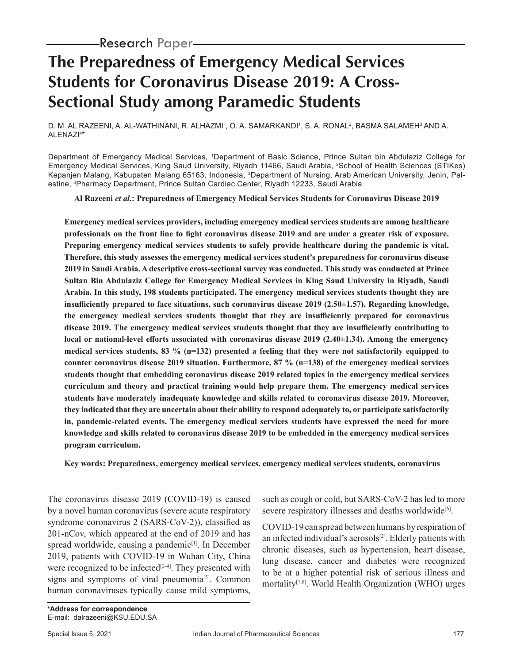# **The Preparedness of Emergency Medical Services Students for Coronavirus Disease 2019: A Cross-Sectional Study among Paramedic Students**

D. M. AL RAZEENI, A. AL-WATHINANI, R. ALHAZMI , O. A. SAMARKANDI', S. A. RONAL<sup>2</sup>, BASMA SALAMEH<sup>3</sup> AND A. ALENAZI4 \*

Department of Emergency Medical Services, 1Department of Basic Science, Prince Sultan bin Abdulaziz College for Emergency Medical Services, King Saud University, Riyadh 11466, Saudi Arabia, 2School of Health Sciences (STIKes) Kepanjen Malang, Kabupaten Malang 65163, Indonesia, <sup>3</sup>Department of Nursing, Arab American University, Jenin, Palestine, 4Pharmacy Department, Prince Sultan Cardiac Center, Riyadh 12233, Saudi Arabia

**Al Razeeni** *et al.***: Preparedness of Emergency Medical Services Students for Coronavirus Disease 2019**

**Emergency medical services providers, including emergency medical services students are among healthcare professionals on the front line to fight coronavirus disease 2019 and are under a greater risk of exposure. Preparing emergency medical services students to safely provide healthcare during the pandemic is vital. Therefore, this study assesses the emergency medical services student's preparedness for coronavirus disease 2019 in Saudi Arabia. A descriptive cross-sectional survey was conducted. This study was conducted at Prince Sultan Bin Abdulaziz College for Emergency Medical Services in King Saud University in Riyadh, Saudi Arabia. In this study, 198 students participated. The emergency medical services students thought they are insufficiently prepared to face situations, such coronavirus disease 2019 (2.50±1.57). Regarding knowledge, the emergency medical services students thought that they are insufficiently prepared for coronavirus disease 2019. The emergency medical services students thought that they are insufficiently contributing to local or national-level efforts associated with coronavirus disease 2019 (2.40±1.34). Among the emergency medical services students, 83 % (n=132) presented a feeling that they were not satisfactorily equipped to counter coronavirus disease 2019 situation. Furthermore, 87 % (n=138) of the emergency medical services students thought that embedding coronavirus disease 2019 related topics in the emergency medical services curriculum and theory and practical training would help prepare them. The emergency medical services students have moderately inadequate knowledge and skills related to coronavirus disease 2019. Moreover, they indicated that they are uncertain about their ability to respond adequately to, or participate satisfactorily in, pandemic-related events. The emergency medical services students have expressed the need for more knowledge and skills related to coronavirus disease 2019 to be embedded in the emergency medical services program curriculum.**

**Key words: Preparedness, emergency medical services, emergency medical services students, coronavirus**

The coronavirus disease 2019 (COVID-19) is caused by a novel human coronavirus (severe acute respiratory syndrome coronavirus 2 (SARS-CoV-2)), classified as 201-nCov, which appeared at the end of 2019 and has spread worldwide, causing a pandemic<sup>[1]</sup>. In December 2019, patients with COVID-19 in Wuhan City, China were recognized to be infected<sup>[2-4]</sup>. They presented with signs and symptoms of viral pneumonia<sup>[5]</sup>. Common human coronaviruses typically cause mild symptoms, such as cough or cold, but SARS-CoV-2 has led to more severe respiratory illnesses and deaths worldwide<sup>[6]</sup>.

COVID-19 can spread between humans by respiration of an infected individual's aerosols<sup>[2]</sup>. Elderly patients with chronic diseases, such as hypertension, heart disease, lung disease, cancer and diabetes were recognized to be at a higher potential risk of serious illness and mortality[7,8]. World Health Organization (WHO) urges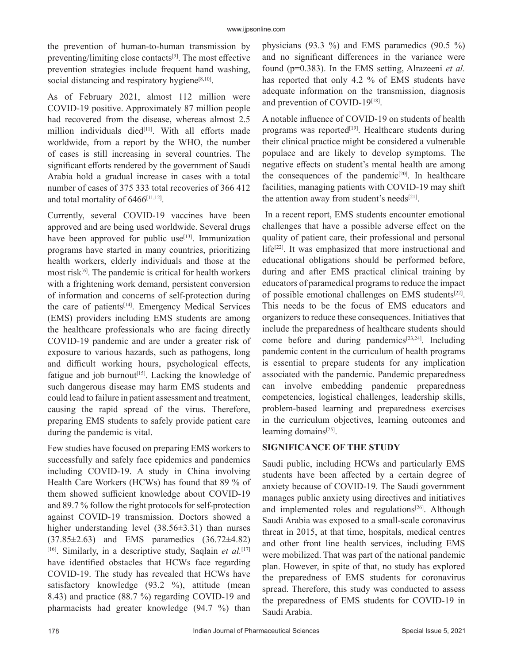the prevention of human-to-human transmission by preventing/limiting close contacts<sup>[9]</sup>. The most effective prevention strategies include frequent hand washing, social distancing and respiratory hygiene $[8,10]$ .

As of February 2021, almost 112 million were COVID-19 positive. Approximately 87 million people had recovered from the disease, whereas almost 2.5 million individuals died<sup>[11]</sup>. With all efforts made worldwide, from a report by the WHO, the number of cases is still increasing in several countries. The significant efforts rendered by the government of Saudi Arabia hold a gradual increase in cases with a total number of cases of 375 333 total recoveries of 366 412 and total mortality of  $6466$ <sup>[11,12]</sup>.

Currently, several COVID-19 vaccines have been approved and are being used worldwide. Several drugs have been approved for public use<sup>[13]</sup>. Immunization programs have started in many countries, prioritizing health workers, elderly individuals and those at the most risk<sup>[6]</sup>. The pandemic is critical for health workers with a frightening work demand, persistent conversion of information and concerns of self-protection during the care of patients<sup>[14]</sup>. Emergency Medical Services (EMS) providers including EMS students are among the healthcare professionals who are facing directly COVID-19 pandemic and are under a greater risk of exposure to various hazards, such as pathogens, long and difficult working hours, psychological effects, fatigue and job burnout<sup>[15]</sup>. Lacking the knowledge of such dangerous disease may harm EMS students and could lead to failure in patient assessment and treatment, causing the rapid spread of the virus. Therefore, preparing EMS students to safely provide patient care during the pandemic is vital.

Few studies have focused on preparing EMS workers to successfully and safely face epidemics and pandemics including COVID-19. A study in China involving Health Care Workers (HCWs) has found that 89 % of them showed sufficient knowledge about COVID-19 and 89.7 % follow the right protocols for self-protection against COVID-19 transmission. Doctors showed a higher understanding level (38.56±3.31) than nurses (37.85±2.63) and EMS paramedics (36.72±4.82) [16]. Similarly, in a descriptive study, Saqlain *et al.*[17] have identified obstacles that HCWs face regarding COVID-19. The study has revealed that HCWs have satisfactory knowledge (93.2 %), attitude (mean 8.43) and practice (88.7 %) regarding COVID-19 and pharmacists had greater knowledge (94.7 %) than physicians (93.3 %) and EMS paramedics (90.5 %) and no significant differences in the variance were found (p=0.383). In the EMS setting, Alrazeeni *et al.* has reported that only 4.2 % of EMS students have adequate information on the transmission, diagnosis and prevention of COVID-19[18].

A notable influence of COVID-19 on students of health programs was reported<sup>[19]</sup>. Healthcare students during their clinical practice might be considered a vulnerable populace and are likely to develop symptoms. The negative effects on student's mental health are among the consequences of the pandemic<sup>[20]</sup>. In healthcare facilities, managing patients with COVID-19 may shift the attention away from student's needs $[21]$ .

 In a recent report, EMS students encounter emotional challenges that have a possible adverse effect on the quality of patient care, their professional and personal life<sup>[22]</sup>. It was emphasized that more instructional and educational obligations should be performed before, during and after EMS practical clinical training by educators of paramedical programs to reduce the impact of possible emotional challenges on EMS students[22]. This needs to be the focus of EMS educators and organizers to reduce these consequences. Initiatives that include the preparedness of healthcare students should come before and during pandemics $[23,24]$ . Including pandemic content in the curriculum of health programs is essential to prepare students for any implication associated with the pandemic. Pandemic preparedness can involve embedding pandemic preparedness competencies, logistical challenges, leadership skills, problem-based learning and preparedness exercises in the curriculum objectives, learning outcomes and learning domains<sup>[25]</sup>.

### **SIGNIFICANCE OF THE STUDY**

Saudi public, including HCWs and particularly EMS students have been affected by a certain degree of anxiety because of COVID-19. The Saudi government manages public anxiety using directives and initiatives and implemented roles and regulations<sup>[26]</sup>. Although Saudi Arabia was exposed to a small-scale coronavirus threat in 2015, at that time, hospitals, medical centres and other front line health services, including EMS were mobilized. That was part of the national pandemic plan. However, in spite of that, no study has explored the preparedness of EMS students for coronavirus spread. Therefore, this study was conducted to assess the preparedness of EMS students for COVID-19 in Saudi Arabia.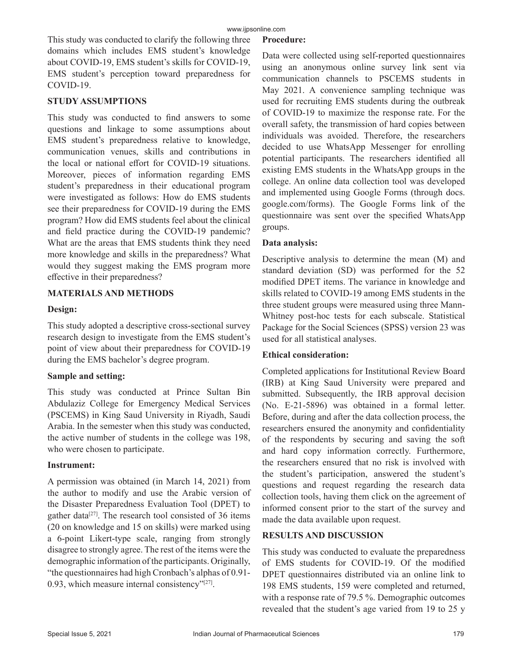This study was conducted to clarify the following three domains which includes EMS student's knowledge about COVID-19, EMS student's skills for COVID-19, EMS student's perception toward preparedness for COVID-19.

#### **STUDY ASSUMPTIONS**

This study was conducted to find answers to some questions and linkage to some assumptions about EMS student's preparedness relative to knowledge, communication venues, skills and contributions in the local or national effort for COVID-19 situations. Moreover, pieces of information regarding EMS student's preparedness in their educational program were investigated as follows: How do EMS students see their preparedness for COVID-19 during the EMS program? How did EMS students feel about the clinical and field practice during the COVID-19 pandemic? What are the areas that EMS students think they need more knowledge and skills in the preparedness? What would they suggest making the EMS program more effective in their preparedness?

#### **MATERIALS AND METHODS**

#### **Design:**

This study adopted a descriptive cross-sectional survey research design to investigate from the EMS student's point of view about their preparedness for COVID-19 during the EMS bachelor's degree program.

#### **Sample and setting:**

This study was conducted at Prince Sultan Bin Abdulaziz College for Emergency Medical Services (PSCEMS) in King Saud University in Riyadh, Saudi Arabia. In the semester when this study was conducted, the active number of students in the college was 198, who were chosen to participate.

#### **Instrument:**

A permission was obtained (in March 14, 2021) from the author to modify and use the Arabic version of the Disaster Preparedness Evaluation Tool (DPET) to gather data<sup>[27]</sup>. The research tool consisted of 36 items (20 on knowledge and 15 on skills) were marked using a 6-point Likert-type scale, ranging from strongly disagree to strongly agree. The rest of the items were the demographic information of the participants. Originally, "the questionnaires had high Cronbach's alphas of 0.91- 0.93, which measure internal consistency"[27].

#### **Procedure:**

Data were collected using self-reported questionnaires using an anonymous online survey link sent via communication channels to PSCEMS students in May 2021. A convenience sampling technique was used for recruiting EMS students during the outbreak of COVID-19 to maximize the response rate. For the overall safety, the transmission of hard copies between individuals was avoided. Therefore, the researchers decided to use WhatsApp Messenger for enrolling potential participants. The researchers identified all existing EMS students in the WhatsApp groups in the college. An online data collection tool was developed and implemented using Google Forms (through docs. google.com/forms). The Google Forms link of the questionnaire was sent over the specified WhatsApp groups.

#### **Data analysis:**

Descriptive analysis to determine the mean (M) and standard deviation (SD) was performed for the 52 modified DPET items. The variance in knowledge and skills related to COVID-19 among EMS students in the three student groups were measured using three Mann-Whitney post-hoc tests for each subscale. Statistical Package for the Social Sciences (SPSS) version 23 was used for all statistical analyses.

#### **Ethical consideration:**

Completed applications for Institutional Review Board (IRB) at King Saud University were prepared and submitted. Subsequently, the IRB approval decision (No. E-21-5896) was obtained in a formal letter. Before, during and after the data collection process, the researchers ensured the anonymity and confidentiality of the respondents by securing and saving the soft and hard copy information correctly. Furthermore, the researchers ensured that no risk is involved with the student's participation, answered the student's questions and request regarding the research data collection tools, having them click on the agreement of informed consent prior to the start of the survey and made the data available upon request.

#### **RESULTS AND DISCUSSION**

This study was conducted to evaluate the preparedness of EMS students for COVID-19. Of the modified DPET questionnaires distributed via an online link to 198 EMS students, 159 were completed and returned, with a response rate of 79.5 %. Demographic outcomes revealed that the student's age varied from 19 to 25 y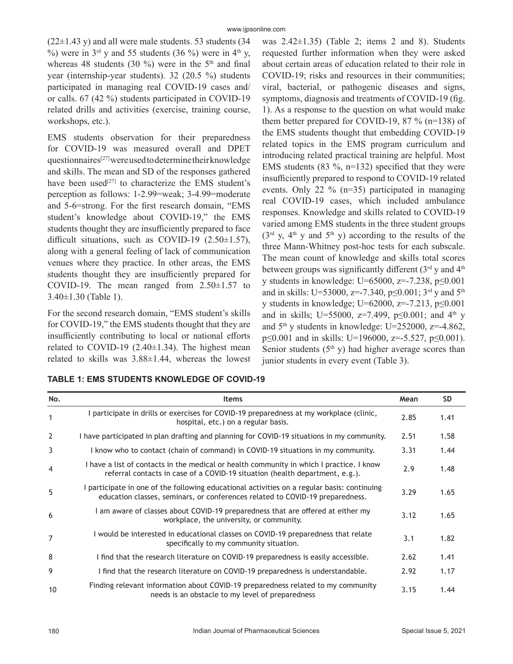$(22\pm1.43 \text{ y})$  and all were male students. 53 students (34) %) were in  $3<sup>rd</sup>$  y and 55 students (36 %) were in 4<sup>th</sup> y, whereas 48 students (30 %) were in the  $5<sup>th</sup>$  and final year (internship-year students). 32 (20.5 %) students participated in managing real COVID-19 cases and/ or calls. 67 (42 %) students participated in COVID-19 related drills and activities (exercise, training course, workshops, etc.).

EMS students observation for their preparedness for COVID-19 was measured overall and DPET questionnaires[27] were used to determine their knowledge and skills. The mean and SD of the responses gathered have been used<sup>[27]</sup> to characterize the EMS student's perception as follows: 1-2.99=weak; 3-4.99=moderate and 5-6=strong. For the first research domain, "EMS student's knowledge about COVID-19," the EMS students thought they are insufficiently prepared to face difficult situations, such as COVID-19  $(2.50\pm1.57)$ , along with a general feeling of lack of communication venues where they practice. In other areas, the EMS students thought they are insufficiently prepared for COVID-19. The mean ranged from  $2.50\pm1.57$  to 3.40±1.30 (Table 1).

For the second research domain, "EMS student's skills for COVID-19," the EMS students thought that they are insufficiently contributing to local or national efforts related to COVID-19  $(2.40\pm1.34)$ . The highest mean related to skills was 3.88±1.44, whereas the lowest was  $2.42\pm1.35$ ) (Table 2; items 2 and 8). Students requested further information when they were asked about certain areas of education related to their role in COVID-19; risks and resources in their communities; viral, bacterial, or pathogenic diseases and signs, symptoms, diagnosis and treatments of COVID-19 (fig. 1). As a response to the question on what would make them better prepared for COVID-19, 87 % ( $n=138$ ) of the EMS students thought that embedding COVID-19 related topics in the EMS program curriculum and introducing related practical training are helpful. Most EMS students  $(83 \text{ %}, n=132)$  specified that they were insufficiently prepared to respond to COVID-19 related events. Only 22 % (n=35) participated in managing real COVID-19 cases, which included ambulance responses. Knowledge and skills related to COVID-19 varied among EMS students in the three student groups  $(3<sup>rd</sup> y, 4<sup>th</sup> y$  and  $5<sup>th</sup> y$ ) according to the results of the three Mann-Whitney post-hoc tests for each subscale. The mean count of knowledge and skills total scores between groups was significantly different  $(3<sup>rd</sup>$  y and  $4<sup>th</sup>$ y students in knowledge: U=65000, z=-7.238, p≤0.001 and in skills: U=53000, z=-7.340, p $\leq$ 0.001; 3<sup>rd</sup> y and 5<sup>th</sup> y students in knowledge; U=62000, z=-7.213, p≤0.001 and in skills; U=55000, z=7.499, p $\leq 0.001$ ; and 4<sup>th</sup> y and  $5<sup>th</sup>$  y students in knowledge: U=252000, z=-4.862, p≤0.001 and in skills: U=196000, z=-5.527, p≤0.001). Senior students  $(5<sup>th</sup> y)$  had higher average scores than junior students in every event (Table 3).

|  |  | <b>TABLE 1: EMS STUDENTS KNOWLEDGE OF COVID-19</b> |  |
|--|--|----------------------------------------------------|--|
|--|--|----------------------------------------------------|--|

| No.            | <b>Items</b>                                                                                                                                                                 | Mean | <b>SD</b> |
|----------------|------------------------------------------------------------------------------------------------------------------------------------------------------------------------------|------|-----------|
| $\mathbf{1}$   | I participate in drills or exercises for COVID-19 preparedness at my workplace (clinic,<br>hospital, etc.) on a regular basis.                                               | 2.85 | 1.41      |
| $\overline{2}$ | I have participated in plan drafting and planning for COVID-19 situations in my community.                                                                                   | 2.51 | 1.58      |
| 3              | I know who to contact (chain of command) in COVID-19 situations in my community.                                                                                             | 3.31 | 1.44      |
| $\overline{4}$ | I have a list of contacts in the medical or health community in which I practice. I know<br>referral contacts in case of a COVID-19 situation (health department, e.g.).     | 2.9  | 1.48      |
| 5              | I participate in one of the following educational activities on a regular basis: continuing<br>education classes, seminars, or conferences related to COVID-19 preparedness. | 3.29 | 1.65      |
| 6              | I am aware of classes about COVID-19 preparedness that are offered at either my<br>workplace, the university, or community.                                                  | 3.12 | 1.65      |
| $\overline{7}$ | I would be interested in educational classes on COVID-19 preparedness that relate<br>specifically to my community situation.                                                 | 3.1  | 1.82      |
| 8              | I find that the research literature on COVID-19 preparedness is easily accessible.                                                                                           | 2.62 | 1.41      |
| 9              | I find that the research literature on COVID-19 preparedness is understandable.                                                                                              | 2.92 | 1.17      |
| 10             | Finding relevant information about COVID-19 preparedness related to my community<br>needs is an obstacle to my level of preparedness                                         | 3.15 | 1.44      |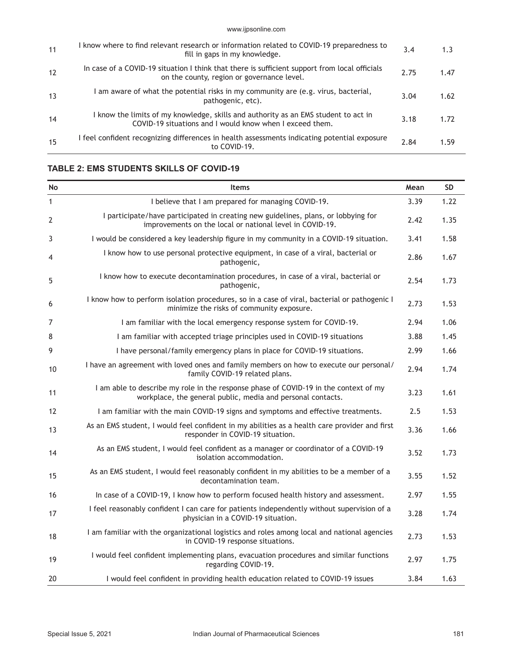www.ijpsonline.com

| 11 | I know where to find relevant research or information related to COVID-19 preparedness to<br>fill in gaps in my knowledge.                      | 3.4  | 1.3  |
|----|-------------------------------------------------------------------------------------------------------------------------------------------------|------|------|
| 12 | In case of a COVID-19 situation I think that there is sufficient support from local officials<br>on the county, region or governance level.     | 2.75 | 1.47 |
| 13 | am aware of what the potential risks in my community are (e.g. virus, bacterial,<br>pathogenic, etc).                                           | 3.04 | 1.62 |
| 14 | I know the limits of my knowledge, skills and authority as an EMS student to act in<br>COVID-19 situations and I would know when I exceed them. | 3.18 | 1.72 |
| 15 | I feel confident recognizing differences in health assessments indicating potential exposure<br>to COVID-19.                                    | 2.84 | 1.59 |

## **TABLE 2: EMS STUDENTS SKILLS OF COVID-19**

| No             | <b>Items</b>                                                                                                                                        | Mean | <b>SD</b> |
|----------------|-----------------------------------------------------------------------------------------------------------------------------------------------------|------|-----------|
| $\mathbf{1}$   | I believe that I am prepared for managing COVID-19.                                                                                                 | 3.39 | 1.22      |
| $\overline{2}$ | I participate/have participated in creating new guidelines, plans, or lobbying for<br>improvements on the local or national level in COVID-19.      | 2.42 | 1.35      |
| 3              | I would be considered a key leadership figure in my community in a COVID-19 situation.                                                              | 3.41 | 1.58      |
| 4              | I know how to use personal protective equipment, in case of a viral, bacterial or<br>pathogenic,                                                    | 2.86 | 1.67      |
| 5              | I know how to execute decontamination procedures, in case of a viral, bacterial or<br>pathogenic,                                                   | 2.54 | 1.73      |
| 6              | I know how to perform isolation procedures, so in a case of viral, bacterial or pathogenic I<br>minimize the risks of community exposure.           | 2.73 | 1.53      |
| 7              | I am familiar with the local emergency response system for COVID-19.                                                                                | 2.94 | 1.06      |
| 8              | I am familiar with accepted triage principles used in COVID-19 situations                                                                           | 3.88 | 1.45      |
| 9              | I have personal/family emergency plans in place for COVID-19 situations.                                                                            | 2.99 | 1.66      |
| 10             | I have an agreement with loved ones and family members on how to execute our personal/<br>family COVID-19 related plans.                            | 2.94 | 1.74      |
| 11             | I am able to describe my role in the response phase of COVID-19 in the context of my<br>workplace, the general public, media and personal contacts. | 3.23 | 1.61      |
| 12             | I am familiar with the main COVID-19 signs and symptoms and effective treatments.                                                                   | 2.5  | 1.53      |
| 13             | As an EMS student, I would feel confident in my abilities as a health care provider and first<br>responder in COVID-19 situation.                   | 3.36 | 1.66      |
| 14             | As an EMS student, I would feel confident as a manager or coordinator of a COVID-19<br>isolation accommodation.                                     | 3.52 | 1.73      |
| 15             | As an EMS student, I would feel reasonably confident in my abilities to be a member of a<br>decontamination team.                                   | 3.55 | 1.52      |
| 16             | In case of a COVID-19, I know how to perform focused health history and assessment.                                                                 | 2.97 | 1.55      |
| 17             | I feel reasonably confident I can care for patients independently without supervision of a<br>physician in a COVID-19 situation.                    | 3.28 | 1.74      |
| 18             | I am familiar with the organizational logistics and roles among local and national agencies<br>in COVID-19 response situations.                     | 2.73 | 1.53      |
| 19             | I would feel confident implementing plans, evacuation procedures and similar functions<br>regarding COVID-19.                                       | 2.97 | 1.75      |
| 20             | I would feel confident in providing health education related to COVID-19 issues                                                                     | 3.84 | 1.63      |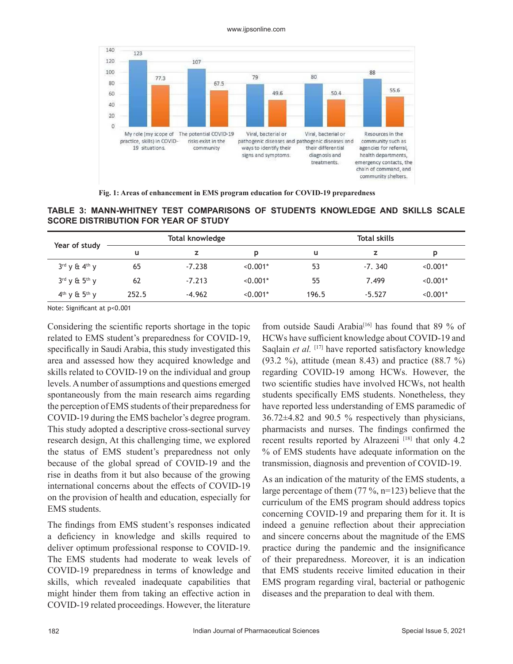#### www.ijpsonline.com



**Fig. 1: Areas of enhancement in EMS program education for COVID-19 preparedness**

**TABLE 3: MANN-WHITNEY TEST COMPARISONS OF STUDENTS KNOWLEDGE AND SKILLS SCALE SCORE DISTRIBUTION FOR YEAR OF STUDY**

| Year of study                         |       | Total knowledge |            |       | <b>Total skills</b> |            |
|---------------------------------------|-------|-----------------|------------|-------|---------------------|------------|
|                                       | u     | z               | D          | u     |                     | D          |
| $3^{\text{rd}}$ y & $4^{\text{th}}$ y | 65    | $-7.238$        | $< 0.001*$ | 53    | $-7.340$            | $< 0.001*$ |
| $3^{rd}$ y & $5^{th}$ y               | 62    | $-7.213$        | $< 0.001*$ | 55    | 7.499               | $< 0.001*$ |
| $4th$ v & $5th$ v                     | 252.5 | $-4.962$        | $< 0.001*$ | 196.5 | $-5.527$            | $< 0.001*$ |

Note: Significant at p<0.001

Considering the scientific reports shortage in the topic related to EMS student's preparedness for COVID-19, specifically in Saudi Arabia, this study investigated this area and assessed how they acquired knowledge and skills related to COVID-19 on the individual and group levels. A number of assumptions and questions emerged spontaneously from the main research aims regarding the perception of EMS students of their preparedness for COVID-19 during the EMS bachelor's degree program. This study adopted a descriptive cross-sectional survey research design, At this challenging time, we explored the status of EMS student's preparedness not only because of the global spread of COVID-19 and the rise in deaths from it but also because of the growing international concerns about the effects of COVID-19 on the provision of health and education, especially for EMS students.

The findings from EMS student's responses indicated a deficiency in knowledge and skills required to deliver optimum professional response to COVID-19. The EMS students had moderate to weak levels of COVID-19 preparedness in terms of knowledge and skills, which revealed inadequate capabilities that might hinder them from taking an effective action in COVID-19 related proceedings. However, the literature from outside Saudi Arabia<sup>[16]</sup> has found that 89 % of HCWs have sufficient knowledge about COVID-19 and Saqlain *et al.* [17] have reported satisfactory knowledge (93.2 %), attitude (mean 8.43) and practice (88.7 %) regarding COVID-19 among HCWs. However, the two scientific studies have involved HCWs, not health students specifically EMS students. Nonetheless, they have reported less understanding of EMS paramedic of 36.72±4.82 and 90.5 % respectively than physicians, pharmacists and nurses. The findings confirmed the recent results reported by Alrazeeni<sup>[18]</sup> that only 4.2 % of EMS students have adequate information on the transmission, diagnosis and prevention of COVID-19.

As an indication of the maturity of the EMS students, a large percentage of them (77 %, n=123) believe that the curriculum of the EMS program should address topics concerning COVID-19 and preparing them for it. It is indeed a genuine reflection about their appreciation and sincere concerns about the magnitude of the EMS practice during the pandemic and the insignificance of their preparedness. Moreover, it is an indication that EMS students receive limited education in their EMS program regarding viral, bacterial or pathogenic diseases and the preparation to deal with them.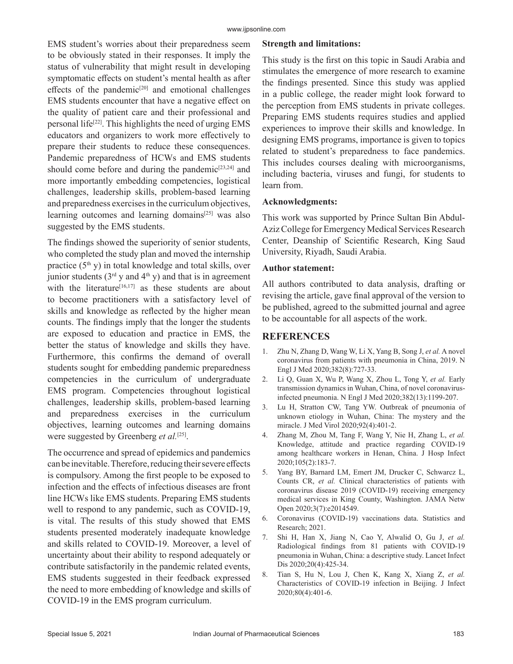EMS student's worries about their preparedness seem to be obviously stated in their responses. It imply the status of vulnerability that might result in developing symptomatic effects on student's mental health as after effects of the pandemic $[20]$  and emotional challenges EMS students encounter that have a negative effect on the quality of patient care and their professional and personal life<sup>[22]</sup>. This highlights the need of urging EMS educators and organizers to work more effectively to prepare their students to reduce these consequences. Pandemic preparedness of HCWs and EMS students should come before and during the pandemic $[23,24]$  and more importantly embedding competencies, logistical challenges, leadership skills, problem-based learning and preparedness exercises in the curriculum objectives, learning outcomes and learning domains<sup>[25]</sup> was also suggested by the EMS students.

The findings showed the superiority of senior students, who completed the study plan and moved the internship practice  $(5<sup>th</sup> y)$  in total knowledge and total skills, over junior students ( $3<sup>rd</sup>$  y and  $4<sup>th</sup>$  y) and that is in agreement with the literature<sup>[16,17]</sup> as these students are about to become practitioners with a satisfactory level of skills and knowledge as reflected by the higher mean counts. The findings imply that the longer the students are exposed to education and practice in EMS, the better the status of knowledge and skills they have. Furthermore, this confirms the demand of overall students sought for embedding pandemic preparedness competencies in the curriculum of undergraduate EMS program. Competencies throughout logistical challenges, leadership skills, problem-based learning and preparedness exercises in the curriculum objectives, learning outcomes and learning domains were suggested by Greenberg *et al.*[25].

The occurrence and spread of epidemics and pandemics can be inevitable. Therefore, reducing their severe effects is compulsory. Among the first people to be exposed to infection and the effects of infectious diseases are front line HCWs like EMS students. Preparing EMS students well to respond to any pandemic, such as COVID-19, is vital. The results of this study showed that EMS students presented moderately inadequate knowledge and skills related to COVID-19. Moreover, a level of uncertainty about their ability to respond adequately or contribute satisfactorily in the pandemic related events, EMS students suggested in their feedback expressed the need to more embedding of knowledge and skills of COVID-19 in the EMS program curriculum.

#### **Strength and limitations:**

This study is the first on this topic in Saudi Arabia and stimulates the emergence of more research to examine the findings presented. Since this study was applied in a public college, the reader might look forward to the perception from EMS students in private colleges. Preparing EMS students requires studies and applied experiences to improve their skills and knowledge. In designing EMS programs, importance is given to topics related to student's preparedness to face pandemics. This includes courses dealing with microorganisms, including bacteria, viruses and fungi, for students to learn from.

#### **Acknowledgments:**

This work was supported by Prince Sultan Bin Abdul-Aziz College for Emergency Medical Services Research Center, Deanship of Scientific Research, King Saud University, Riyadh, Saudi Arabia.

#### **Author statement:**

All authors contributed to data analysis, drafting or revising the article, gave final approval of the version to be published, agreed to the submitted journal and agree to be accountable for all aspects of the work.

#### **REFERENCES**

- 1. Zhu N, Zhang D, Wang W, Li X, Yang B, Song J, *et al.* A novel coronavirus from patients with pneumonia in China, 2019. N Engl J Med 2020;382(8):727-33.
- 2. Li Q, Guan X, Wu P, Wang X, Zhou L, Tong Y, *et al.* Early transmission dynamics in Wuhan, China, of novel coronavirusinfected pneumonia. N Engl J Med 2020;382(13):1199-207.
- 3. Lu H, Stratton CW, Tang YW. Outbreak of pneumonia of unknown etiology in Wuhan, China: The mystery and the miracle. J Med Virol 2020;92(4):401-2.
- 4. Zhang M, Zhou M, Tang F, Wang Y, Nie H, Zhang L, *et al.* Knowledge, attitude and practice regarding COVID-19 among healthcare workers in Henan, China. J Hosp Infect 2020;105(2):183-7.
- 5. Yang BY, Barnard LM, Emert JM, Drucker C, Schwarcz L, Counts CR, *et al.* Clinical characteristics of patients with coronavirus disease 2019 (COVID-19) receiving emergency medical services in King County, Washington. JAMA Netw Open 2020;3(7):e2014549.
- 6. Coronavirus (COVID-19) vaccinations data. Statistics and Research; 2021.
- 7. Shi H, Han X, Jiang N, Cao Y, Alwalid O, Gu J, *et al.* Radiological findings from 81 patients with COVID-19 pneumonia in Wuhan, China: a descriptive study. Lancet Infect Dis 2020;20(4):425-34.
- 8. Tian S, Hu N, Lou J, Chen K, Kang X, Xiang Z, *et al.* Characteristics of COVID-19 infection in Beijing. J Infect 2020;80(4):401-6.